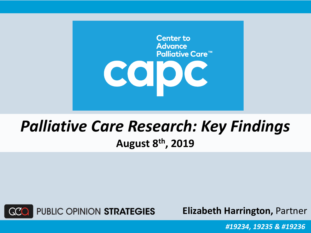

### *Palliative Care Research: Key Findings* **August 8th, 2019**



**Elizabeth Harrington,** Partner

*#19234, 19235 & #19236*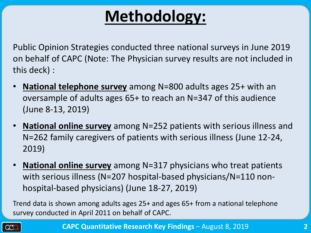## **Methodology:**

Public Opinion Strategies conducted three national surveys in June 2019 on behalf of CAPC (Note: The Physician survey results are not included in this deck) :

- **National telephone survey** among N=800 adults ages 25+ with an oversample of adults ages 65+ to reach an N=347 of this audience (June 8-13, 2019)
- **National online survey** among N=252 patients with serious illness and N=262 family caregivers of patients with serious illness (June 12-24, 2019)
- **National online survey** among N=317 physicians who treat patients with serious illness (N=207 hospital-based physicians/N=110 nonhospital-based physicians) (June 18-27, 2019)

Trend data is shown among adults ages 25+ and ages 65+ from a national telephone survey conducted in April 2011 on behalf of CAPC.

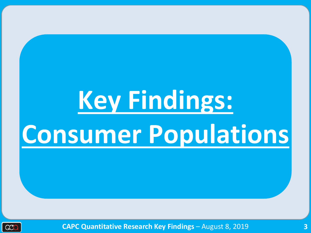# **Key Findings: Consumer Populations**



**CAPC Quantitative Research Key Findings** – August 8, 2019 **3**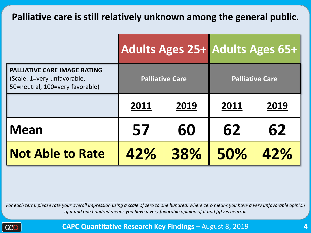#### **Palliative care is still relatively unknown among the general public.**

|                                                                                                       |                   |                        | Adults Ages 25+ Adults Ages 65+ |      |  |
|-------------------------------------------------------------------------------------------------------|-------------------|------------------------|---------------------------------|------|--|
| <b>PALLIATIVE CARE IMAGE RATING</b><br>(Scale: 1=very unfavorable,<br>50=neutral, 100=very favorable) |                   | <b>Palliative Care</b> | <b>Palliative Care</b>          |      |  |
|                                                                                                       | 2011<br>2019      |                        | 2011                            | 2019 |  |
| <b>Mean</b>                                                                                           | 57                | 60                     | 62                              | 62   |  |
| <b>Not Able to Rate</b>                                                                               | 38%<br>50%<br>42% |                        | 42%                             |      |  |

*For each term, please rate your overall impression using a scale of zero to one hundred, where zero means you have a very unfavorable opinion of it and one hundred means you have a very favorable opinion of it and fifty is neutral.*



**CAPC Quantitative Research Key Findings** – August 8, 2019 **4**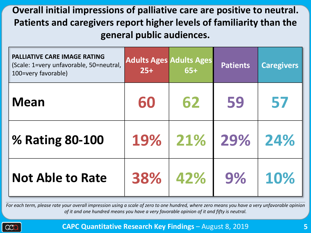#### **Overall initial impressions of palliative care are positive to neutral. Patients and caregivers report higher levels of familiarity than the general public audiences.**

| <b>PALLIATIVE CARE IMAGE RATING</b><br>(Scale: 1=very unfavorable, 50=neutral,<br>100=very favorable) | <b>Adults Ages Adults Ages</b><br>$25+$ | $65+$ | <b>Patients</b> | <b>Caregivers</b> |
|-------------------------------------------------------------------------------------------------------|-----------------------------------------|-------|-----------------|-------------------|
| <b>Mean</b>                                                                                           | 60                                      | 62    | 59              | 57                |
| % Rating 80-100                                                                                       | 19%                                     | 21%   | 29%             | 24%               |
| <b>Not Able to Rate</b>                                                                               | 38%                                     | 42%   | 9%              | 10%               |

*For each term, please rate your overall impression using a scale of zero to one hundred, where zero means you have a very unfavorable opinion of it and one hundred means you have a very favorable opinion of it and fifty is neutral.*

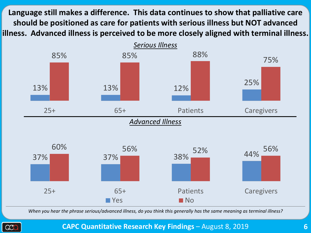**Language still makes a difference. This data continues to show that palliative care should be positioned as care for patients with serious illness but NOT advanced illness. Advanced illness is perceived to be more closely aligned with terminal illness.**



*When you hear the phrase serious/advanced illness, do you think this generally has the same meaning as terminal illness?* 



**CAPC Quantitative Research Key Findings** – August 8, 2019 **6**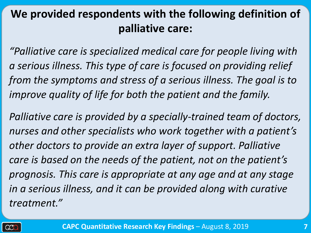#### **We provided respondents with the following definition of palliative care:**

*"Palliative care is specialized medical care for people living with a serious illness. This type of care is focused on providing relief from the symptoms and stress of a serious illness. The goal is to improve quality of life for both the patient and the family.*

*Palliative care is provided by a specially-trained team of doctors, nurses and other specialists who work together with a patient's other doctors to provide an extra layer of support. Palliative care is based on the needs of the patient, not on the patient's prognosis. This care is appropriate at any age and at any stage in a serious illness, and it can be provided along with curative treatment."*

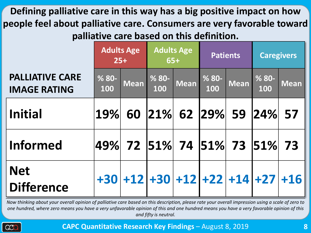**Defining palliative care in this way has a big positive impact on how people feel about palliative care. Consumers are very favorable toward palliative care based on this definition.**

|                                               | <b>Adults Age</b><br>$25+$     |             | <b>Adults Age</b><br>$65+$ |             | <b>Patients</b> |             | <b>Caregivers</b>                 |             |
|-----------------------------------------------|--------------------------------|-------------|----------------------------|-------------|-----------------|-------------|-----------------------------------|-------------|
| <b>PALLIATIVE CARE</b><br><b>IMAGE RATING</b> | % 80-<br>100                   | <b>Mean</b> | $%80-$<br>100              | <b>Mean</b> | $% 80 -$<br>100 | <b>Mean</b> | $% 80 -$<br>100                   | <b>Mean</b> |
| <b>Initial</b>                                | 19%                            | 60          |                            |             |                 |             | $ 21\% $ 62 $ 29\% $ 59 $ 24\% $  | 57          |
| <b>Informed</b>                               | 49%  72  51%  74  51%  73  51% |             |                            |             |                 |             |                                   | 73          |
| <b>Net</b><br><b>Difference</b>               |                                |             |                            |             |                 |             | $+30 +12 +30 +12 +22 +14 +27 +16$ |             |

*Now thinking about your overall opinion of palliative care based on this description, please rate your overall impression using a scale of zero to one hundred, where zero means you have a very unfavorable opinion of this and one hundred means you have a very favorable opinion of this and fifty is neutral.* 

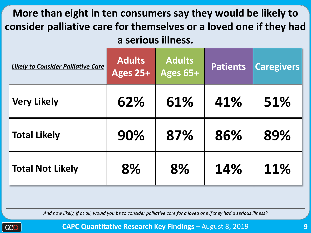#### **More than eight in ten consumers say they would be likely to consider palliative care for themselves or a loved one if they had a serious illness.**

| <b>Likely to Consider Palliative Care</b> | <b>Adults</b><br>Ages 25+ | <b>Adults</b><br>Ages 65+ | <b>Patients</b> | <b>Caregivers</b> |
|-------------------------------------------|---------------------------|---------------------------|-----------------|-------------------|
| <b>Very Likely</b>                        | 62%                       | 61%                       | 41%             | 51%               |
| <b>Total Likely</b>                       | 90%                       | 87%                       | 86%             | 89%               |
| <b>Total Not Likely</b>                   | 8%                        | 8%                        | 14%             | 11%               |

*And how likely, if at all, would you be to consider palliative care for a loved one if they had a serious illness?*

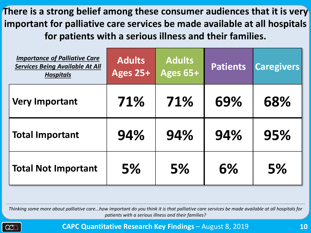**There is a strong belief among these consumer audiences that it is very important for palliative care services be made available at all hospitals for patients with a serious illness and their families.** 

| <b>Importance of Palliative Care</b><br><b>Services Being Available At All</b><br><b>Hospitals</b> | <b>Adults</b><br>Ages 25+ | <b>Adults</b><br>Ages 65+ | <b>Patients</b> | <b>Caregivers</b> |
|----------------------------------------------------------------------------------------------------|---------------------------|---------------------------|-----------------|-------------------|
| <b>Very Important</b>                                                                              | 71%                       | 71%                       | 69%             | 68%               |
| <b>Total Important</b>                                                                             | 94%                       | 94%                       | 94%             | 95%               |
| <b>Total Not Important</b>                                                                         | 5%                        | 5%                        | 6%              | 5%                |

*Thinking some more about palliative care...how important do you think it is that palliative care services be made available at all hospitals for patients with a serious illness and their families?* 

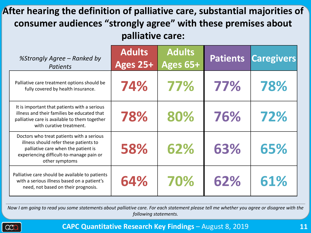#### **After hearing the definition of palliative care, substantial majorities of consumer audiences "strongly agree" with these premises about palliative care:**

| %Strongly Agree - Ranked by<br><b>Patients</b>                                                                                                                                           | <b>Adults</b><br><b>Ages 25+</b> | <b>Adults</b><br>Ages 65+ | <b>Patients</b> | <b>Caregivers</b> |
|------------------------------------------------------------------------------------------------------------------------------------------------------------------------------------------|----------------------------------|---------------------------|-----------------|-------------------|
| Palliative care treatment options should be<br>fully covered by health insurance.                                                                                                        | 74%                              | 77%                       | 77%             | 78%               |
| It is important that patients with a serious<br>illness and their families be educated that<br>palliative care is available to them together<br>with curative treatment.                 | 78%                              | 80%                       | 76%             | 72%               |
| Doctors who treat patients with a serious<br>illness should refer these patients to<br>palliative care when the patient is<br>experiencing difficult-to-manage pain or<br>other symptoms | 58%                              | 62%                       | 63%             | 65%               |
| Palliative care should be available to patients<br>with a serious illness based on a patient's<br>need, not based on their prognosis.                                                    | 64%                              | 70%                       | 62%             | 61%               |

*Now I am going to read you some statements about palliative care. For each statement please tell me whether you agree or disagree with the following statements.*

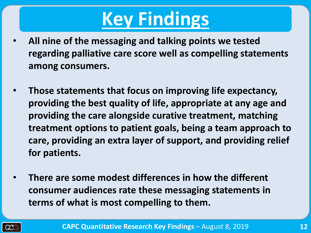## **Key Findings**

- **All nine of the messaging and talking points we tested regarding palliative care score well as compelling statements among consumers.**
- **Those statements that focus on improving life expectancy, providing the best quality of life, appropriate at any age and providing the care alongside curative treatment, matching treatment options to patient goals, being a team approach to care, providing an extra layer of support, and providing relief for patients.**
- **There are some modest differences in how the different consumer audiences rate these messaging statements in terms of what is most compelling to them.**

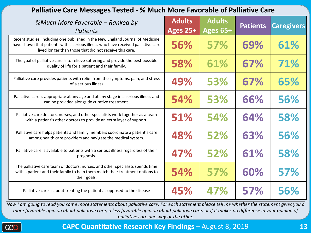| Palliative Care Messages Tested - % Much More Favorable of Palliative Care                                                                                                                                                      |                                  |                           |                 |                   |  |  |  |
|---------------------------------------------------------------------------------------------------------------------------------------------------------------------------------------------------------------------------------|----------------------------------|---------------------------|-----------------|-------------------|--|--|--|
| %Much More Favorable - Ranked by<br><b>Patients</b>                                                                                                                                                                             | <b>Adults</b><br><b>Ages 25+</b> | <b>Adults</b><br>Ages 65+ | <b>Patients</b> | <b>Caregivers</b> |  |  |  |
| Recent studies, including one published in the New England Journal of Medicine,<br>have shown that patients with a serious illness who have received palliative care<br>lived longer than those that did not receive this care. | 56%                              | 57%                       | 69%             | 61%               |  |  |  |
| The goal of palliative care is to relieve suffering and provide the best possible<br>quality of life for a patient and their family.                                                                                            | 58%                              | 61%                       | 67%             | 71%               |  |  |  |
| Palliative care provides patients with relief from the symptoms, pain, and stress<br>of a serious illness                                                                                                                       | 49%                              | 53%                       | 67%             | 65%               |  |  |  |
| Palliative care is appropriate at any age and at any stage in a serious illness and<br>can be provided alongside curative treatment.                                                                                            | 54%                              | 53%                       | 66%             | 56%               |  |  |  |
| Palliative care doctors, nurses, and other specialists work together as a team<br>with a patient's other doctors to provide an extra layer of support.                                                                          | 51%                              | 54%                       | 64%             | 58%               |  |  |  |
| Palliative care helps patients and family members coordinate a patient's care<br>among health care providers and navigate the medical system.                                                                                   | 48%                              | 52%                       | 63%             | 56%               |  |  |  |
| Palliative care is available to patients with a serious illness regardless of their<br>prognosis.                                                                                                                               | 47%                              | 52%                       | 61%             | 58%               |  |  |  |
| The palliative care team of doctors, nurses, and other specialists spends time<br>with a patient and their family to help them match their treatment options to<br>their goals.                                                 | 54%                              | 57%                       | 60%             | 57%               |  |  |  |
| Palliative care is about treating the patient as opposed to the disease                                                                                                                                                         | 45%                              | 47%                       | 57%             | 56%               |  |  |  |

*Now I am going to read you some more statements about palliative care. For each statement please tell me whether the statement gives you a more favorable opinion about palliative care, a less favorable opinion about palliative care, or if it makes no difference in your opinion of palliative care one way or the other.*

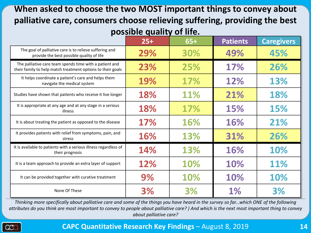#### **When asked to choose the two MOST important things to convey about palliative care, consumers choose relieving suffering, providing the best possible quality of life.**

|                                                                                                                        | $25+$ | $65+$ | <b>Patients</b> | <b>Caregivers</b> |
|------------------------------------------------------------------------------------------------------------------------|-------|-------|-----------------|-------------------|
| The goal of palliative care is to relieve suffering and<br>provide the best possible quality of life                   | 29%   | 30%   | 49%             | 45%               |
| The palliative care team spends time with a patient and<br>their family to help match treatment options to their goals | 23%   | 25%   | 17%             | 26%               |
| It helps coordinate a patient's care and helps them<br>navigate the medical system                                     | 19%   | 17%   | 12%             | 13%               |
| Studies have shown that patients who receive it live longer                                                            | 18%   | 11%   | 21%             | 18%               |
| It is appropriate at any age and at any stage in a serious<br>illness                                                  | 18%   | 17%   | 15%             | <b>15%</b>        |
| It is about treating the patient as opposed to the disease                                                             | 17%   | 16%   | 16%             | 21%               |
| It provides patients with relief from symptoms, pain, and<br>stress                                                    | 16%   | 13%   | 31%             | 26%               |
| It is available to patients with a serious illness regardless of<br>their prognosis                                    | 14%   | 13%   | 16%             | 10%               |
| It is a team approach to provide an extra layer of support                                                             | 12%   | 10%   | 10%             | 11%               |
| It can be provided together with curative treatment                                                                    | 9%    | 10%   | 10%             | 10%               |
| None Of These                                                                                                          | 3%    | 3%    | 1%              | 3%                |

*Thinking more specifically about palliative care and some of the things you have heard in the survey so far...which ONE of the following attributes do you think are most important to convey to people about palliative care? ) And which is the next most important thing to convey about palliative care?*

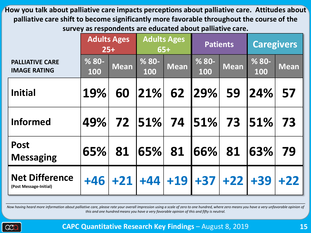**How you talk about palliative care impacts perceptions about palliative care. Attitudes about palliative care shift to become significantly more favorable throughout the course of the survey as respondents are educated about palliative care.**

|                                                 | <b>Adults Ages</b> | $25+$       | <b>Adults Ages</b><br>$65+$ |             | <b>Patients</b> |             | <b>Caregivers</b> |             |
|-------------------------------------------------|--------------------|-------------|-----------------------------|-------------|-----------------|-------------|-------------------|-------------|
| <b>PALLIATIVE CARE</b><br><b>IMAGE RATING</b>   | $% 80 -$<br>100    | <b>Mean</b> | $% 80 -$<br>100             | <b>Mean</b> | $% 80 -$<br>100 | <b>Mean</b> | $% 80 -$<br>100   | <b>Mean</b> |
| <b>Initial</b>                                  | 19%                | 60          | $ 21\% $                    | 62          | 29%             | 59          | 24%               | 57          |
| <b>Informed</b>                                 | 49%                | 72          | $ 51\% $                    | 74          | $ 51\% $        | 73          | 51%               | 73          |
| <b>Post</b><br><b>Messaging</b>                 | 65%                | 81          | 65%                         | 81          | 66%             | 81          | 63%               | 79          |
| <b>Net Difference</b><br>(Post Message-Initial) | $+46$              | $+21$       | $+44$ +19                   |             | $+37$ +22 +39   |             |                   | $+22$       |

Now having heard more information about palliative care, please rate your overall impression using a scale of zero to one hundred, where zero means you have a very unfavorable opinion of *this and one hundred means you have a very favorable opinion of this and fifty is neutral.*